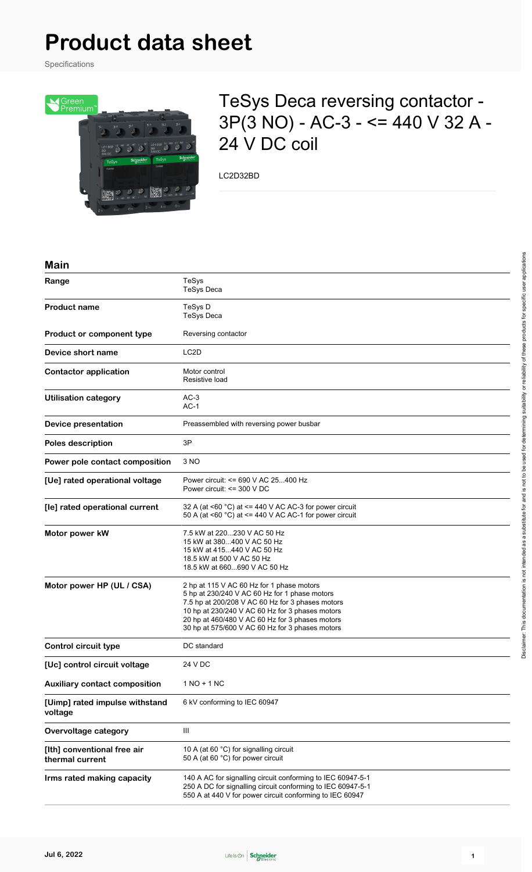# **Product data sheet**

Specifications



# TeSys Deca reversing contactor - 3P(3 NO) - AC-3 - <= 440 V 32 A - 24 V DC coil

LC2D32BD

#### **Main**

| Range                                          | TeSys<br><b>TeSys Deca</b>                                                                                                                                                                                                                                                                              |  |  |  |  |  |
|------------------------------------------------|---------------------------------------------------------------------------------------------------------------------------------------------------------------------------------------------------------------------------------------------------------------------------------------------------------|--|--|--|--|--|
| <b>Product name</b>                            | TeSys D<br><b>TeSys Deca</b>                                                                                                                                                                                                                                                                            |  |  |  |  |  |
| Product or component type                      | Reversing contactor                                                                                                                                                                                                                                                                                     |  |  |  |  |  |
| Device short name                              | LC <sub>2</sub> D                                                                                                                                                                                                                                                                                       |  |  |  |  |  |
| <b>Contactor application</b>                   | Motor control<br>Resistive load                                                                                                                                                                                                                                                                         |  |  |  |  |  |
| <b>Utilisation category</b>                    | $AC-3$<br>$AC-1$                                                                                                                                                                                                                                                                                        |  |  |  |  |  |
| Device presentation                            | Preassembled with reversing power busbar                                                                                                                                                                                                                                                                |  |  |  |  |  |
| <b>Poles description</b>                       | 3P                                                                                                                                                                                                                                                                                                      |  |  |  |  |  |
| Power pole contact composition                 | 3 NO                                                                                                                                                                                                                                                                                                    |  |  |  |  |  |
| [Ue] rated operational voltage                 | Power circuit: <= 690 V AC 25400 Hz<br>Power circuit: <= 300 V DC                                                                                                                                                                                                                                       |  |  |  |  |  |
| [le] rated operational current                 | 32 A (at <60 $^{\circ}$ C) at <= 440 V AC AC-3 for power circuit<br>50 A (at <60 $^{\circ}$ C) at <= 440 V AC AC-1 for power circuit                                                                                                                                                                    |  |  |  |  |  |
| Motor power kW                                 | 7.5 kW at 220230 V AC 50 Hz<br>15 kW at 380400 V AC 50 Hz<br>15 kW at 415440 V AC 50 Hz<br>18.5 kW at 500 V AC 50 Hz<br>18.5 kW at 660690 V AC 50 Hz                                                                                                                                                    |  |  |  |  |  |
| Motor power HP (UL / CSA)                      | 2 hp at 115 V AC 60 Hz for 1 phase motors<br>5 hp at 230/240 V AC 60 Hz for 1 phase motors<br>7.5 hp at 200/208 V AC 60 Hz for 3 phases motors<br>10 hp at 230/240 V AC 60 Hz for 3 phases motors<br>20 hp at 460/480 V AC 60 Hz for 3 phases motors<br>30 hp at 575/600 V AC 60 Hz for 3 phases motors |  |  |  |  |  |
| <b>Control circuit type</b>                    | DC standard                                                                                                                                                                                                                                                                                             |  |  |  |  |  |
| [Uc] control circuit voltage                   | 24 V DC                                                                                                                                                                                                                                                                                                 |  |  |  |  |  |
| <b>Auxiliary contact composition</b>           | $1 NQ + 1 NC$                                                                                                                                                                                                                                                                                           |  |  |  |  |  |
| [Uimp] rated impulse withstand<br>voltage      | 6 kV conforming to IEC 60947                                                                                                                                                                                                                                                                            |  |  |  |  |  |
| Overvoltage category                           | Ш                                                                                                                                                                                                                                                                                                       |  |  |  |  |  |
| [Ith] conventional free air<br>thermal current | 10 A (at 60 °C) for signalling circuit<br>50 A (at 60 °C) for power circuit                                                                                                                                                                                                                             |  |  |  |  |  |
| Irms rated making capacity                     | 140 A AC for signalling circuit conforming to IEC 60947-5-1<br>250 A DC for signalling circuit conforming to IEC 60947-5-1<br>550 A at 440 V for power circuit conforming to IEC 60947                                                                                                                  |  |  |  |  |  |

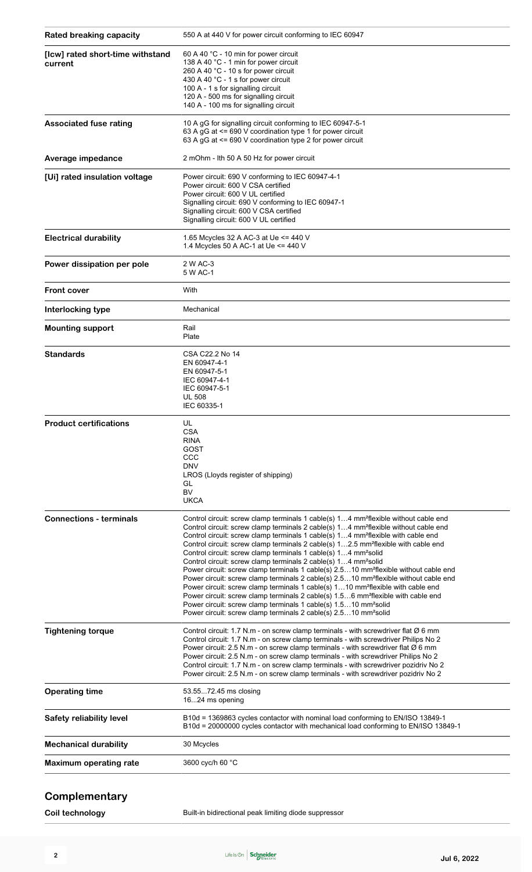| <b>Rated breaking capacity</b>              | 550 A at 440 V for power circuit conforming to IEC 60947                                                                                                                                                                                                                                                                                                                                                                                                                                                                                                                                                                                                                                                                                                                                                                                                                                                                                                                                                                                                                                                                              |  |  |  |  |  |  |
|---------------------------------------------|---------------------------------------------------------------------------------------------------------------------------------------------------------------------------------------------------------------------------------------------------------------------------------------------------------------------------------------------------------------------------------------------------------------------------------------------------------------------------------------------------------------------------------------------------------------------------------------------------------------------------------------------------------------------------------------------------------------------------------------------------------------------------------------------------------------------------------------------------------------------------------------------------------------------------------------------------------------------------------------------------------------------------------------------------------------------------------------------------------------------------------------|--|--|--|--|--|--|
| [Icw] rated short-time withstand<br>current | 60 A 40 °C - 10 min for power circuit<br>138 A 40 °C - 1 min for power circuit<br>260 A 40 °C - 10 s for power circuit<br>430 A 40 °C - 1 s for power circuit<br>100 A - 1 s for signalling circuit<br>120 A - 500 ms for signalling circuit<br>140 A - 100 ms for signalling circuit                                                                                                                                                                                                                                                                                                                                                                                                                                                                                                                                                                                                                                                                                                                                                                                                                                                 |  |  |  |  |  |  |
| <b>Associated fuse rating</b>               | 10 A gG for signalling circuit conforming to IEC 60947-5-1<br>63 A gG at <= 690 V coordination type 1 for power circuit<br>63 A gG at <= 690 V coordination type 2 for power circuit                                                                                                                                                                                                                                                                                                                                                                                                                                                                                                                                                                                                                                                                                                                                                                                                                                                                                                                                                  |  |  |  |  |  |  |
| Average impedance                           | 2 mOhm - Ith 50 A 50 Hz for power circuit                                                                                                                                                                                                                                                                                                                                                                                                                                                                                                                                                                                                                                                                                                                                                                                                                                                                                                                                                                                                                                                                                             |  |  |  |  |  |  |
| [Ui] rated insulation voltage               | Power circuit: 690 V conforming to IEC 60947-4-1<br>Power circuit: 600 V CSA certified<br>Power circuit: 600 V UL certified<br>Signalling circuit: 690 V conforming to IEC 60947-1<br>Signalling circuit: 600 V CSA certified<br>Signalling circuit: 600 V UL certified                                                                                                                                                                                                                                                                                                                                                                                                                                                                                                                                                                                                                                                                                                                                                                                                                                                               |  |  |  |  |  |  |
| <b>Electrical durability</b>                | 1.65 Mcycles 32 A AC-3 at Ue $\leq$ 440 V<br>1.4 Mcycles 50 A AC-1 at Ue <= 440 V                                                                                                                                                                                                                                                                                                                                                                                                                                                                                                                                                                                                                                                                                                                                                                                                                                                                                                                                                                                                                                                     |  |  |  |  |  |  |
| Power dissipation per pole                  | 2 W AC-3<br>5 W AC-1                                                                                                                                                                                                                                                                                                                                                                                                                                                                                                                                                                                                                                                                                                                                                                                                                                                                                                                                                                                                                                                                                                                  |  |  |  |  |  |  |
| <b>Front cover</b>                          | With                                                                                                                                                                                                                                                                                                                                                                                                                                                                                                                                                                                                                                                                                                                                                                                                                                                                                                                                                                                                                                                                                                                                  |  |  |  |  |  |  |
| Interlocking type                           | Mechanical                                                                                                                                                                                                                                                                                                                                                                                                                                                                                                                                                                                                                                                                                                                                                                                                                                                                                                                                                                                                                                                                                                                            |  |  |  |  |  |  |
| <b>Mounting support</b>                     | Rail<br>Plate                                                                                                                                                                                                                                                                                                                                                                                                                                                                                                                                                                                                                                                                                                                                                                                                                                                                                                                                                                                                                                                                                                                         |  |  |  |  |  |  |
| <b>Standards</b>                            | CSA C22.2 No 14<br>EN 60947-4-1<br>EN 60947-5-1<br>IEC 60947-4-1<br>IEC 60947-5-1<br><b>UL 508</b><br>IEC 60335-1                                                                                                                                                                                                                                                                                                                                                                                                                                                                                                                                                                                                                                                                                                                                                                                                                                                                                                                                                                                                                     |  |  |  |  |  |  |
| <b>Product certifications</b>               | UL<br><b>CSA</b><br><b>RINA</b><br>GOST<br>ccc<br><b>DNV</b><br>LROS (Lloyds register of shipping)<br>GL<br><b>BV</b><br><b>UKCA</b>                                                                                                                                                                                                                                                                                                                                                                                                                                                                                                                                                                                                                                                                                                                                                                                                                                                                                                                                                                                                  |  |  |  |  |  |  |
| <b>Connections - terminals</b>              | Control circuit: screw clamp terminals 1 cable(s) 14 mm <sup>2</sup> flexible without cable end<br>Control circuit: screw clamp terminals 2 cable(s) 14 mm <sup>2</sup> flexible without cable end<br>Control circuit: screw clamp terminals 1 cable(s) 14 mm <sup>2</sup> flexible with cable end<br>Control circuit: screw clamp terminals 2 cable(s) 12.5 mm <sup>2</sup> flexible with cable end<br>Control circuit: screw clamp terminals 1 cable(s) 14 mm <sup>2</sup> solid<br>Control circuit: screw clamp terminals 2 cable(s) 14 mm <sup>2</sup> solid<br>Power circuit: screw clamp terminals 1 cable(s) 2.510 mm <sup>2</sup> flexible without cable end<br>Power circuit: screw clamp terminals 2 cable(s) 2.510 mm <sup>2</sup> flexible without cable end<br>Power circuit: screw clamp terminals 1 cable(s) 110 mm <sup>2</sup> flexible with cable end<br>Power circuit: screw clamp terminals 2 cable(s) 1.56 mm <sup>2</sup> flexible with cable end<br>Power circuit: screw clamp terminals 1 cable(s) 1.510 mm <sup>2</sup> solid<br>Power circuit: screw clamp terminals 2 cable(s) 2.510 mm <sup>2</sup> solid |  |  |  |  |  |  |
| <b>Tightening torque</b>                    | Control circuit: 1.7 N.m - on screw clamp terminals - with screwdriver flat $\varnothing$ 6 mm<br>Control circuit: 1.7 N.m - on screw clamp terminals - with screwdriver Philips No 2<br>Power circuit: 2.5 N.m - on screw clamp terminals - with screwdriver flat $\varnothing$ 6 mm<br>Power circuit: 2.5 N.m - on screw clamp terminals - with screwdriver Philips No 2<br>Control circuit: 1.7 N.m - on screw clamp terminals - with screwdriver pozidriv No 2<br>Power circuit: 2.5 N.m - on screw clamp terminals - with screwdriver pozidriv No 2                                                                                                                                                                                                                                                                                                                                                                                                                                                                                                                                                                              |  |  |  |  |  |  |
| <b>Operating time</b>                       | 53.5572.45 ms closing<br>1624 ms opening                                                                                                                                                                                                                                                                                                                                                                                                                                                                                                                                                                                                                                                                                                                                                                                                                                                                                                                                                                                                                                                                                              |  |  |  |  |  |  |
| Safety reliability level                    | B10d = 1369863 cycles contactor with nominal load conforming to EN/ISO 13849-1<br>B10d = 20000000 cycles contactor with mechanical load conforming to EN/ISO 13849-1                                                                                                                                                                                                                                                                                                                                                                                                                                                                                                                                                                                                                                                                                                                                                                                                                                                                                                                                                                  |  |  |  |  |  |  |
| <b>Mechanical durability</b>                | 30 Mcycles                                                                                                                                                                                                                                                                                                                                                                                                                                                                                                                                                                                                                                                                                                                                                                                                                                                                                                                                                                                                                                                                                                                            |  |  |  |  |  |  |
| <b>Maximum operating rate</b>               | 3600 cyc/h 60 °C                                                                                                                                                                                                                                                                                                                                                                                                                                                                                                                                                                                                                                                                                                                                                                                                                                                                                                                                                                                                                                                                                                                      |  |  |  |  |  |  |

#### **Complementary**

**Coil technology Built-in bidirectional peak limiting diode suppressor**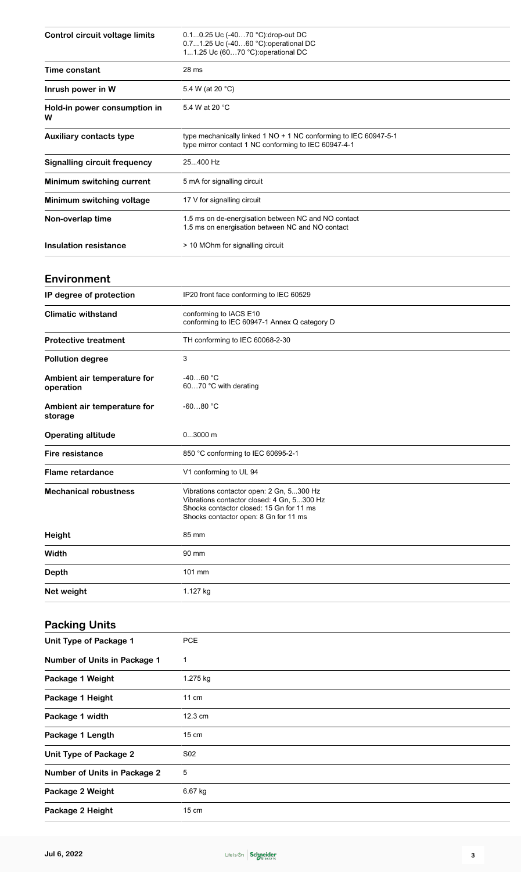| <b>Control circuit voltage limits</b>    | 0.10.25 Uc (-4070 °C):drop-out DC<br>0.71.25 Uc (-4060 °C) operational DC<br>11.25 Uc (6070 °C): operational DC                                                             |  |  |  |  |  |
|------------------------------------------|-----------------------------------------------------------------------------------------------------------------------------------------------------------------------------|--|--|--|--|--|
| Time constant                            | 28 ms                                                                                                                                                                       |  |  |  |  |  |
| Inrush power in W                        | 5.4 W (at 20 °C)                                                                                                                                                            |  |  |  |  |  |
| Hold-in power consumption in<br>w        | 5.4 W at 20 °C                                                                                                                                                              |  |  |  |  |  |
| <b>Auxiliary contacts type</b>           | type mechanically linked 1 NO + 1 NC conforming to IEC 60947-5-1<br>type mirror contact 1 NC conforming to IEC 60947-4-1                                                    |  |  |  |  |  |
| <b>Signalling circuit frequency</b>      | 25400 Hz                                                                                                                                                                    |  |  |  |  |  |
| Minimum switching current                | 5 mA for signalling circuit                                                                                                                                                 |  |  |  |  |  |
| Minimum switching voltage                | 17 V for signalling circuit                                                                                                                                                 |  |  |  |  |  |
| Non-overlap time                         | 1.5 ms on de-energisation between NC and NO contact<br>1.5 ms on energisation between NC and NO contact                                                                     |  |  |  |  |  |
| Insulation resistance                    | > 10 MOhm for signalling circuit                                                                                                                                            |  |  |  |  |  |
| Environment                              |                                                                                                                                                                             |  |  |  |  |  |
| IP degree of protection                  | IP20 front face conforming to IEC 60529                                                                                                                                     |  |  |  |  |  |
| <b>Climatic withstand</b>                | conforming to IACS E10<br>conforming to IEC 60947-1 Annex Q category D                                                                                                      |  |  |  |  |  |
| <b>Protective treatment</b>              | TH conforming to IEC 60068-2-30                                                                                                                                             |  |  |  |  |  |
| <b>Pollution degree</b>                  | 3                                                                                                                                                                           |  |  |  |  |  |
| Ambient air temperature for<br>operation | $-4060 °C$<br>6070 °C with derating                                                                                                                                         |  |  |  |  |  |
| Ambient air temperature for<br>storage   | $-6080 °C$                                                                                                                                                                  |  |  |  |  |  |
| <b>Operating altitude</b>                | $03000$ m                                                                                                                                                                   |  |  |  |  |  |
| Fire resistance                          | 850 °C conforming to IEC 60695-2-1                                                                                                                                          |  |  |  |  |  |
| <b>Flame retardance</b>                  | V1 conforming to UL 94                                                                                                                                                      |  |  |  |  |  |
|                                          |                                                                                                                                                                             |  |  |  |  |  |
| <b>Mechanical robustness</b>             | Vibrations contactor open: 2 Gn, 5300 Hz<br>Vibrations contactor closed: 4 Gn, 5300 Hz<br>Shocks contactor closed: 15 Gn for 11 ms<br>Shocks contactor open: 8 Gn for 11 ms |  |  |  |  |  |
| Height                                   | 85 mm                                                                                                                                                                       |  |  |  |  |  |
| Width                                    | 90 mm                                                                                                                                                                       |  |  |  |  |  |
| <b>Depth</b>                             | 101 mm                                                                                                                                                                      |  |  |  |  |  |
| Net weight                               | 1.127 kg                                                                                                                                                                    |  |  |  |  |  |
| <b>Packing Units</b>                     |                                                                                                                                                                             |  |  |  |  |  |
| <b>Unit Type of Package 1</b>            | <b>PCE</b>                                                                                                                                                                  |  |  |  |  |  |
| <b>Number of Units in Package 1</b>      | $\mathbf{1}$                                                                                                                                                                |  |  |  |  |  |
| Package 1 Weight                         | 1.275 kg                                                                                                                                                                    |  |  |  |  |  |
| Package 1 Height                         | 11 cm                                                                                                                                                                       |  |  |  |  |  |
| Package 1 width                          | 12.3 cm                                                                                                                                                                     |  |  |  |  |  |
| Package 1 Length                         | $15 \text{ cm}$                                                                                                                                                             |  |  |  |  |  |
| <b>Unit Type of Package 2</b>            | S02                                                                                                                                                                         |  |  |  |  |  |
| <b>Number of Units in Package 2</b>      | 5                                                                                                                                                                           |  |  |  |  |  |
| Package 2 Weight                         | 6.67 kg                                                                                                                                                                     |  |  |  |  |  |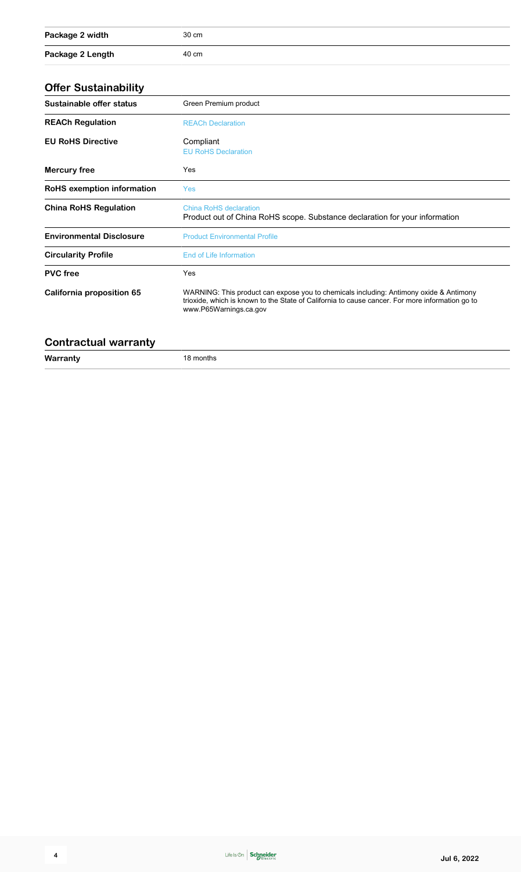| Package 2 width  | 30 cm |
|------------------|-------|
| Package 2 Length | 40 cm |

#### **Offer Sustainability**

| Unci Uddianiadiniy              |                                                                                                                                                                                                                     |  |  |  |  |
|---------------------------------|---------------------------------------------------------------------------------------------------------------------------------------------------------------------------------------------------------------------|--|--|--|--|
| Sustainable offer status        | Green Premium product<br><b>REACh Declaration</b>                                                                                                                                                                   |  |  |  |  |
| <b>REACh Regulation</b>         |                                                                                                                                                                                                                     |  |  |  |  |
| <b>EU RoHS Directive</b>        | Compliant<br><b>EU RoHS Declaration</b>                                                                                                                                                                             |  |  |  |  |
| <b>Mercury free</b>             | Yes                                                                                                                                                                                                                 |  |  |  |  |
| RoHS exemption information      | <b>Yes</b>                                                                                                                                                                                                          |  |  |  |  |
| <b>China RoHS Regulation</b>    | <b>China RoHS declaration</b><br>Product out of China RoHS scope. Substance declaration for your information                                                                                                        |  |  |  |  |
| <b>Environmental Disclosure</b> | <b>Product Environmental Profile</b>                                                                                                                                                                                |  |  |  |  |
| <b>Circularity Profile</b>      | End of Life Information                                                                                                                                                                                             |  |  |  |  |
| <b>PVC</b> free                 | <b>Yes</b>                                                                                                                                                                                                          |  |  |  |  |
| California proposition 65       | WARNING: This product can expose you to chemicals including: Antimony oxide & Antimony<br>trioxide, which is known to the State of California to cause cancer. For more information go to<br>www.P65Warnings.ca.gov |  |  |  |  |
|                                 |                                                                                                                                                                                                                     |  |  |  |  |

#### **Contractual warranty**

| Warranty           | '8 months |
|--------------------|-----------|
| and the control of | .         |
|                    |           |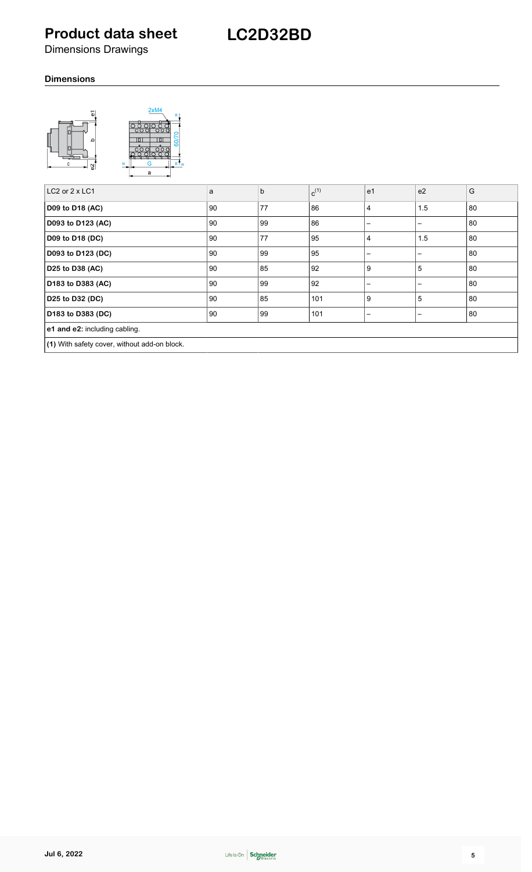## **Product data sheet**

Dimensions Drawings

#### **Dimensions**



| LC2 or $2 \times$ LC1                        | a  | $\mathsf{b}$ | $c^{(1)}$ | e <sub>1</sub>  | e <sub>2</sub> | G  |
|----------------------------------------------|----|--------------|-----------|-----------------|----------------|----|
| D09 to D18 (AC)                              | 90 | 77           | 86        | 4               | 1.5            | 80 |
| D093 to D123 (AC)                            | 90 | 99           | 86        | $\qquad \qquad$ |                | 80 |
| D09 to D18 (DC)                              | 90 | 77           | 95        | 4               | 1.5            | 80 |
| D093 to D123 (DC)                            | 90 | .99          | 95        | -               |                | 80 |
| D25 to D38 (AC)                              | 90 | 85           | 92        | 9               | 5              | 80 |
| D183 to D383 (AC)                            | 90 | 99           | 92        | $\qquad \qquad$ |                | 80 |
| D25 to D32 (DC)                              | 90 | 85           | 101       | 9               | 5              | 80 |
| D183 to D383 (DC)                            | 90 | 99           | 101       | -               | —              | 80 |
| e1 and e2: including cabling.                |    |              |           |                 |                |    |
| (1) With safety cover, without add-on block. |    |              |           |                 |                |    |